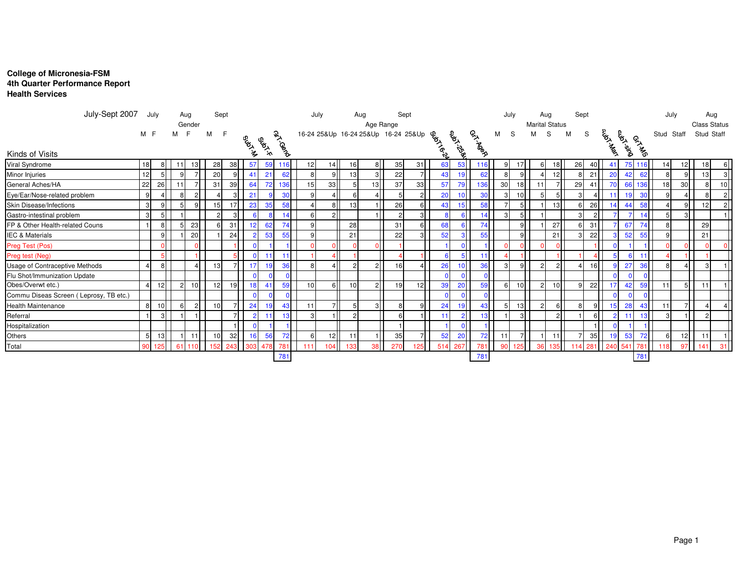## **College of Micronesia-FSM 4th Quarter Performance Report Health Services**

| July-Sept 2007                         |     | July           |      | Aug                     | Sept |                |            |                 |                     | July |             |                 | Aug                                                                                   |                | Sept           |    |                 |                 |    | July           |               | Aug                   | Sept |                |                |           |                 | July            |                 | Aug                 |                 |
|----------------------------------------|-----|----------------|------|-------------------------|------|----------------|------------|-----------------|---------------------|------|-------------|-----------------|---------------------------------------------------------------------------------------|----------------|----------------|----|-----------------|-----------------|----|----------------|---------------|-----------------------|------|----------------|----------------|-----------|-----------------|-----------------|-----------------|---------------------|-----------------|
|                                        |     |                |      | Gender                  |      |                |            |                 |                     |      |             |                 |                                                                                       |                |                |    |                 |                 |    |                |               | <b>Marital Status</b> |      |                |                |           |                 |                 |                 | <b>Class Status</b> |                 |
|                                        | M F |                |      |                         | м    |                |            |                 |                     |      |             |                 |                                                                                       |                |                |    |                 |                 | м  | S              | м             | S.                    | M    | S              |                |           |                 |                 | Stud Staff      | Stud Staff          |                 |
| Kinds of Visits                        |     |                |      |                         |      |                | OSIAL ASIA | <b>GRANCE</b>   | Gi <sup>rcoco</sup> |      |             |                 | July<br>Age Range<br>16-24 258Up 16-24 258Up 16-24 258Up<br>Berger 358Up<br>Berger 35 |                |                |    |                 | OSITIOS         |    |                |               |                       |      |                | <b>CALLAGE</b> | Guya Xaya | <b>65-A-26</b>  |                 |                 |                     |                 |
| Viral Syndrome                         | 18  | 8              | 11 I | 13 <sup>l</sup>         | 28   | 38             | 57         | 59              | 116                 | 12   | 14          | 16              | 8                                                                                     | 35             | 31             | 63 | 53              | 116             | 9  |                | 61            | 18 <sup>1</sup>       | 26   | 40I            | $4^{\circ}$    |           | 75 116          | 14              | 12              | 18                  |                 |
| Minor Injuries                         | 12  | 5              | q    |                         | 20   | q              |            | 21              | 62                  | 8    | 9I          | 13              | 3 <sup>1</sup>                                                                        | 22             | 7 <sup>1</sup> | 43 | 19              | 62              |    |                |               | 12 <sup>1</sup>       |      | 21             | 20             | 42        | 62              |                 | 9 <sup>1</sup>  | 13                  | 3               |
| General Aches/HA                       | 22  | 26             |      |                         | 31   | 39             | 64         | 72              | 136                 | 15   | 33          |                 | 13                                                                                    | 37             | 33             | 57 | 79              | 136             | 30 | 18             | 11            |                       | 29   | 41             |                | 66        | 136             | 18 <sup>1</sup> | 30 <sup>1</sup> | 8                   | 10 <sup>1</sup> |
| Eye/Ear/Nose-related problem           | 9   | $\overline{4}$ | 8    |                         |      | 3              | 21         |                 | 30                  | 9    | 4           |                 |                                                                                       |                | $\mathbf{2}$   | 20 | 10 <sup>1</sup> | 30 <sup>1</sup> | 3  | 10             |               | 5 <sup>1</sup>        | зI   |                |                | 19        | 30 <sup>°</sup> |                 |                 |                     | $\overline{2}$  |
| Skin Disease/Infections                | 3   | 9              | 5    | $\mathbf{Q}$            | 15   | 17             | 23         | 35              | 58                  |      | 8           | 13              |                                                                                       | 26             | 6              | 43 | 15              | 58              |    |                |               | 13                    |      | 26             |                | 44        | 58              |                 | 9I              | 12                  | $\mathcal{P}$   |
| Gastro-intestinal problem              | 3   | 5 <sub>l</sub> |      |                         |      | 3              |            |                 | 14                  | 6    | $2\sqrt{ }$ |                 |                                                                                       | $\overline{2}$ | 3 <sup>1</sup> |    | 6               | 14              | 3  | 5 <sup>1</sup> |               |                       | 31   | $\overline{2}$ |                |           |                 |                 | 3 <sup>1</sup>  |                     |                 |
| FP & Other Health-related Couns        |     | 8              | 5    | 23                      |      | 31             | 12         | 62              | 74                  | q    |             | 28              |                                                                                       | 31             | 6              | 68 | $6 \mid$        | 74              |    | 9 <sup>1</sup> |               | 27                    | 61   | 31             |                | 67        | 74              |                 |                 | 29                  |                 |
| <b>IEC &amp; Materials</b>             |     | 9              |      | <b>20</b>               |      | 24             |            | 53              | 55                  | 9    |             | 21              |                                                                                       | 22             | 3 <sup>1</sup> | 52 | 3 <sup>1</sup>  | 55              |    | 9 <sub>l</sub> |               | 21                    | зI   | 22             |                | 52        | 55              |                 |                 | 21                  |                 |
| Preg Test (Pos)                        |     | $\Omega$       |      |                         |      |                |            |                 |                     |      |             |                 |                                                                                       |                |                |    |                 |                 |    |                |               |                       |      |                |                |           |                 |                 |                 |                     |                 |
| Preg test (Neg)                        |     |                |      |                         |      |                |            | 11              |                     |      | 4 I         |                 |                                                                                       |                |                |    | 5 <sup>1</sup>  |                 |    |                |               |                       |      |                |                |           |                 |                 |                 |                     |                 |
| Usage of Contraceptive Methods         |     | 8 <sup>1</sup> |      | $\overline{\mathbf{4}}$ | 13   | 7 <sup>1</sup> | -17        | 19 <sup>l</sup> | 36                  | 8    | 4           |                 | 2 <sup>1</sup>                                                                        | 16             | $\mathbf{4}$   | 26 | 10 <sup>1</sup> | 36              | 3  | 9 <sup>1</sup> | $\mathcal{D}$ | 2 <sup>1</sup>        | 41   | 16             |                | 27        | 36              |                 |                 | 3                   |                 |
| Flu Shot/Immunization Update           |     |                |      |                         |      |                |            |                 | $\mathbf{0}$        |      |             |                 |                                                                                       |                |                |    | $\Omega$        |                 |    |                |               |                       |      |                |                |           |                 |                 |                 |                     |                 |
| Obes/Overwt etc.)                      |     | 12             | 2    | 10 <sup>1</sup>         | 12   | 19             | 18         | 41              | 59                  | 10   | 6           | 10 <sup>1</sup> | 2 <sup>1</sup>                                                                        | 19             | 12             | 39 | 20              | 59              | 6  | 10             | 2             | 10                    | 91   | 22             |                | 42        | 59              |                 | 5 <sup>1</sup>  | 11                  |                 |
| Commu Diseas Screen (Leprosy, TB etc.) |     |                |      |                         |      |                |            |                 | $\Omega$            |      |             |                 |                                                                                       |                |                |    |                 |                 |    |                |               |                       |      |                |                |           |                 |                 |                 |                     |                 |
| Health Maintenance                     | 8   | 10             | 6    |                         |      |                | 24         | 19              | 43                  | 11   | 7II         |                 | 3 <sup>l</sup>                                                                        |                | 9I             | 24 | 19 <sup>l</sup> |                 | 5  | 13             |               | 6I                    |      | 9              |                | 28        | 43              |                 |                 |                     |                 |
| Referral                               |     | $\mathcal{B}$  |      |                         |      |                |            |                 | 13 <sup>1</sup>     |      | 1 I I       |                 |                                                                                       |                |                |    | 2 <sup>1</sup>  |                 |    | $\mathcal{R}$  |               | $\overline{2}$        |      | 6              |                |           |                 |                 |                 | $\mathcal{P}$       |                 |
| Hospitalization                        |     |                |      |                         |      |                |            |                 |                     |      |             |                 |                                                                                       |                |                |    |                 |                 |    |                |               |                       |      |                |                |           |                 |                 |                 |                     |                 |
| Others                                 | 5   | 13             |      |                         |      | 32             |            | 56              |                     |      | 12II        |                 |                                                                                       | 35             | 7I             | 52 | <b>20</b>       |                 | 11 |                |               |                       |      | 35             |                | 53        | 72              |                 | 12              | 11                  |                 |
| Total                                  | 90  | 125            | 61   |                         | 152  | 243            |            | 478             | 781                 | 111  | 104         | 133             | 38                                                                                    | 270            | $125-1$        |    | 514 267         | 781             | 90 | 125            |               |                       |      | 281            | 240            | 54        | 781             |                 | 97              | 141                 | 31              |
|                                        |     |                |      |                         |      |                |            |                 | 781                 |      |             |                 |                                                                                       |                |                |    |                 | 781             |    |                |               |                       |      |                |                |           | 781             |                 |                 |                     |                 |